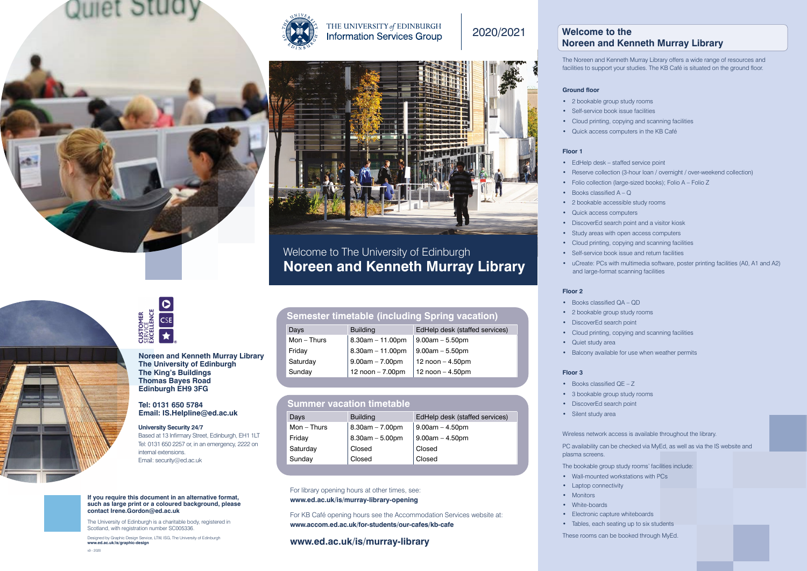

## THE UNIVERSITY of EDINBURGH **Information Services Group**

## 2020/2021





## Welcome to The University of Edinburgh **Noreen and Kenneth Murray Library**

- 2 bookable group study rooms
- Self-service book issue facilities
- 
- 

The Noreen and Kenneth Murray Library offers a wide range of resources and facilities to support your studies. The KB Café is situated on the ground floor.

## **Ground floor**

- 
- 
- Books classified  $A Q$
- 
- Quick access computers
- 
- 
- 
- 

## **Floor 1**

## **Floor 2**

- 
- 
- Cloud printing, copying and scanning facilities
- Quick access computers in the KB Café
- EdHelp desk staffed service point
- Reserve collection (3-hour loan / overnight / over-weekend collection)
- Folio collection (large-sized books); Folio A Folio Z
	-
- 2 bookable accessible study rooms
	-
- DiscoverEd search point and a visitor kiosk
- Study areas with open access computers
- Cloud printing, copying and scanning facilities
- Self-service book issue and return facilities
- uCreate: PCs with multimedia software, poster printing facilities (A0, A1 and A2) and large-format scanning facilities
	-
	-
	-
- Cloud printing, copying and scanning facilities
	-
- Balcony available for use when weather permits
- 3 bookable group study rooms
	-
- Wireless network access is available throughout the library.
- PC availability can be checked via MyEd, as well as via the IS website and
- The bookable group study rooms' facilities include: • Wall-mounted workstations with PCs
- Electronic capture whiteboards
- These rooms can be booked through MyEd.
- Books classified QA QD
- 2 bookable group study rooms
- DiscoverEd search point
- 
- Quiet study area
- 

## **Floor 3**

- Books classified QE Z
- 
- DiscoverEd search point
- Silent study area

plasma screens.

- 
- Laptop connectivity
- Monitors • White-boards
- 
- 
- Tables, each seating up to six students





# **Welcome to the**

# **Noreen and Kenneth Murray Library**

### For library opening hours at other times, see: **[www.ed.ac.uk/is/murray-library-opening](http://www.ed.ac.uk/is/murray-library-opening)**

For KB Café opening hours see the Accommodation Services website at: **[www.accom.ed.ac.uk/for-students/our-cafes/kb-cafe](http://www.accom.ed.ac.uk/for-students/our-cafes/kb-cafe)**

## **[www.ed.ac.uk/is/murray-library](http://www.ed.ac.uk/is/murray-library)**

| Days         | <b>Building</b>        | EdHelp desk (staffed services) |
|--------------|------------------------|--------------------------------|
| $Mon - Thus$ | $8.30$ am $-11.00$ pm  | $9.00$ am $-5.50$ pm           |
| Friday       | $8.30$ am $-11.00$ pm  | $9.00$ am $-5.50$ pm           |
| Saturday     | $9.00am - 7.00pm$      | 12 noon $-$ 4.50pm             |
| Sunday       | 12 $n$ oon $- 7.00$ pm | 12 $n$ oon $-$ 4.50pm          |

## **Semester timetable (including Spring vacation)**

**If you require this document in an alternative format, such as large print or a coloured background, please contact [Irene.Gordon@ed.ac.uk](mailto:Irene.Gordon@ed.ac.uk)**

The University of Edinburgh is a charitable body, registered in Scotland, with registration number SC005336.

Designed by Graphic Design Service, LTW, ISG, The University of Edinburgh **[www.ed.ac.uk/is/graphic-design](http://www.ed.ac.uk/is/graphic-design)**

**Noreen and Kenneth Murray Library The University of Edinburgh The King's Buildings Thomas Bayes Road Edinburgh EH9 3FG**

# **Tel: 0131 650 5784**

| Email: IS.Helpline@ed.ac.uk                                             | <b>Days</b> |               | <b>Building</b>       | EdHelp desk (staffed services) |
|-------------------------------------------------------------------------|-------------|---------------|-----------------------|--------------------------------|
| <b>University Security 24/7</b>                                         |             | $Mon$ – Thurs | $8.30$ am $- 7.00$ pm | $9.00$ am $-4.50$ pm           |
| Based at 13 Infirmary Street, Edinburgh, EH1 1LT                        | Friday      |               | $8.30$ am $-5.00$ pm  | $9.00am - 4.50pm$              |
| Tel: 0131 650 2257 or, in an emergency, 2222 on<br>internal extensions. | Saturday    |               | Closed                | Closed                         |
| Email: security@ed.ac.uk                                                | Sunday      |               | Closed                | Closed                         |

## **Summer vacation timetable**

## **University Security 24/7**